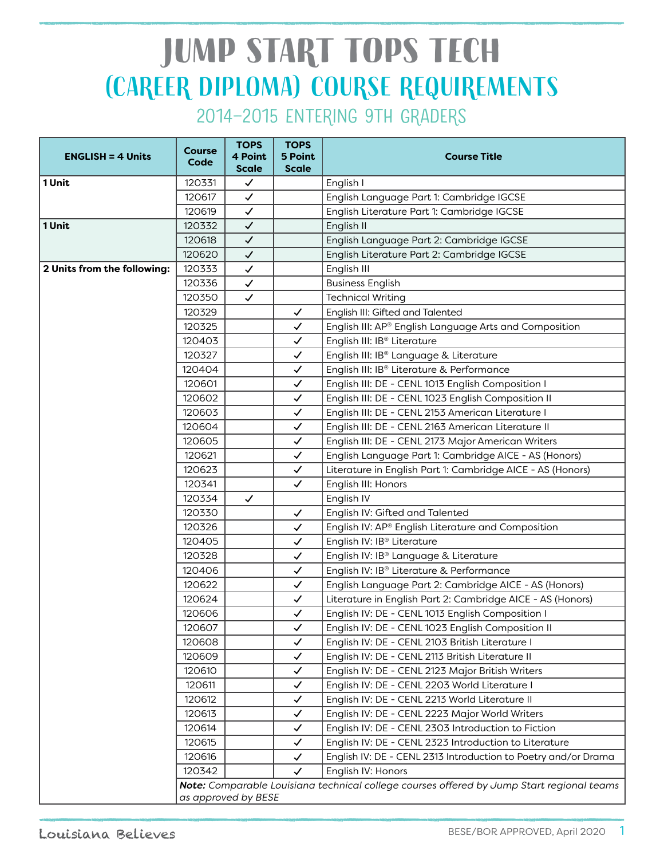## JUMP START TOPS TECH (Career Diploma) Course Requirements

2014–2015 Entering 9th Graders

| <b>ENGLISH = 4 Units</b>    | <b>Course</b><br>Code                                                                                            | <b>TOPS</b><br>4 Point<br><b>Scale</b> | <b>TOPS</b><br>5 Point<br><b>Scale</b> | <b>Course Title</b>                                            |  |
|-----------------------------|------------------------------------------------------------------------------------------------------------------|----------------------------------------|----------------------------------------|----------------------------------------------------------------|--|
| 1 Unit                      | 120331                                                                                                           | ✓                                      |                                        | English I                                                      |  |
|                             | 120617                                                                                                           | $\checkmark$                           |                                        | English Language Part 1: Cambridge IGCSE                       |  |
|                             | 120619                                                                                                           | $\checkmark$                           |                                        | English Literature Part 1: Cambridge IGCSE                     |  |
| 1 Unit                      | 120332                                                                                                           | $\checkmark$                           |                                        | English II                                                     |  |
|                             | 120618                                                                                                           | $\checkmark$                           |                                        | English Language Part 2: Cambridge IGCSE                       |  |
|                             | 120620                                                                                                           | $\checkmark$                           |                                        | English Literature Part 2: Cambridge IGCSE                     |  |
| 2 Units from the following: | 120333                                                                                                           | $\checkmark$                           |                                        | English III                                                    |  |
|                             | 120336                                                                                                           | $\checkmark$                           |                                        | <b>Business English</b>                                        |  |
|                             | 120350                                                                                                           | $\checkmark$                           |                                        | <b>Technical Writing</b>                                       |  |
|                             | 120329                                                                                                           |                                        | $\checkmark$                           | English III: Gifted and Talented                               |  |
|                             | 120325                                                                                                           |                                        | $\checkmark$                           | English III: AP® English Language Arts and Composition         |  |
|                             | 120403                                                                                                           |                                        | $\checkmark$                           | English III: IB® Literature                                    |  |
|                             | 120327                                                                                                           |                                        | $\checkmark$                           | English III: IB <sup>®</sup> Language & Literature             |  |
|                             | 120404                                                                                                           |                                        | $\checkmark$                           | English III: IB® Literature & Performance                      |  |
|                             | 120601                                                                                                           |                                        | $\checkmark$                           | English III: DE - CENL 1013 English Composition I              |  |
|                             | 120602                                                                                                           |                                        | $\checkmark$                           | English III: DE - CENL 1023 English Composition II             |  |
|                             | 120603                                                                                                           |                                        | $\checkmark$                           | English III: DE - CENL 2153 American Literature I              |  |
|                             | 120604                                                                                                           |                                        | $\checkmark$                           | English III: DE - CENL 2163 American Literature II             |  |
|                             | 120605                                                                                                           |                                        | $\checkmark$                           | English III: DE - CENL 2173 Major American Writers             |  |
|                             | 120621                                                                                                           |                                        | $\checkmark$                           | English Language Part 1: Cambridge AICE - AS (Honors)          |  |
|                             | 120623                                                                                                           |                                        | $\checkmark$                           | Literature in English Part 1: Cambridge AICE - AS (Honors)     |  |
|                             | 120341                                                                                                           |                                        | $\checkmark$                           | English III: Honors                                            |  |
|                             | 120334                                                                                                           | $\checkmark$                           |                                        | English IV                                                     |  |
|                             | 120330                                                                                                           |                                        | $\checkmark$                           | English IV: Gifted and Talented                                |  |
|                             | 120326                                                                                                           |                                        | $\checkmark$                           | English IV: AP® English Literature and Composition             |  |
|                             | 120405                                                                                                           |                                        | $\checkmark$                           | English IV: IB <sup>®</sup> Literature                         |  |
|                             | 120328                                                                                                           |                                        | $\checkmark$                           | English IV: IB® Language & Literature                          |  |
|                             | 120406                                                                                                           |                                        | $\checkmark$                           | English IV: IB® Literature & Performance                       |  |
|                             | 120622                                                                                                           |                                        | $\checkmark$                           | English Language Part 2: Cambridge AICE - AS (Honors)          |  |
|                             | 120624                                                                                                           |                                        | $\checkmark$                           | Literature in English Part 2: Cambridge AICE - AS (Honors)     |  |
|                             | 120606                                                                                                           |                                        | $\checkmark$                           | English IV: DE - CENL 1013 English Composition I               |  |
|                             | 120607                                                                                                           |                                        | ✓                                      | English IV: DE - CENL 1023 English Composition II              |  |
|                             | 120608                                                                                                           |                                        | $\checkmark$                           | English IV: DE - CENL 2103 British Literature I                |  |
|                             | 120609                                                                                                           |                                        | $\checkmark$                           | English IV: DE - CENL 2113 British Literature II               |  |
|                             | 120610                                                                                                           |                                        | $\checkmark$                           | English IV: DE - CENL 2123 Major British Writers               |  |
|                             | 120611                                                                                                           |                                        | $\checkmark$                           | English IV: DE - CENL 2203 World Literature I                  |  |
|                             | 120612                                                                                                           |                                        | $\checkmark$                           | English IV: DE - CENL 2213 World Literature II                 |  |
|                             | 120613                                                                                                           |                                        | $\checkmark$                           | English IV: DE - CENL 2223 Major World Writers                 |  |
|                             | 120614                                                                                                           |                                        | $\checkmark$                           | English IV: DE - CENL 2303 Introduction to Fiction             |  |
|                             | 120615                                                                                                           |                                        | $\checkmark$                           | English IV: DE - CENL 2323 Introduction to Literature          |  |
|                             | 120616                                                                                                           |                                        | ✓                                      | English IV: DE - CENL 2313 Introduction to Poetry and/or Drama |  |
|                             | 120342                                                                                                           |                                        | $\checkmark$                           | English IV: Honors                                             |  |
|                             | Note: Comparable Louisiana technical college courses offered by Jump Start regional teams<br>as approved by BESE |                                        |                                        |                                                                |  |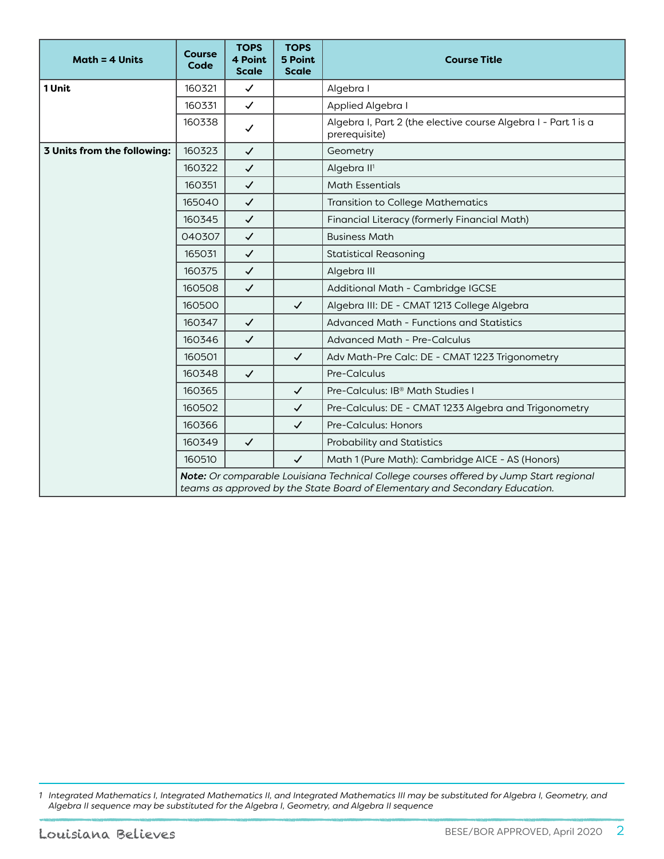| Math $=$ 4 Units            | <b>Course</b><br>Code | <b>TOPS</b><br>4 Point<br><b>Scale</b> | <b>TOPS</b><br>5 Point<br><b>Scale</b> | <b>Course Title</b>                                                                                                                                                   |
|-----------------------------|-----------------------|----------------------------------------|----------------------------------------|-----------------------------------------------------------------------------------------------------------------------------------------------------------------------|
| 1 Unit                      | 160321                | $\checkmark$                           |                                        | Algebra I                                                                                                                                                             |
|                             | 160331                | $\checkmark$                           |                                        | Applied Algebra I                                                                                                                                                     |
|                             | 160338                | $\checkmark$                           |                                        | Algebra I, Part 2 (the elective course Algebra I - Part 1 is a<br>prerequisite)                                                                                       |
| 3 Units from the following: | 160323                | $\checkmark$                           |                                        | Geometry                                                                                                                                                              |
|                             | 160322                | $\checkmark$                           |                                        | Algebra II <sup>1</sup>                                                                                                                                               |
|                             | 160351                | $\checkmark$                           |                                        | <b>Math Essentials</b>                                                                                                                                                |
|                             | 165040                | $\checkmark$                           |                                        | <b>Transition to College Mathematics</b>                                                                                                                              |
|                             | 160345                | $\checkmark$                           |                                        | Financial Literacy (formerly Financial Math)                                                                                                                          |
|                             | 040307                | $\checkmark$                           |                                        | <b>Business Math</b>                                                                                                                                                  |
|                             | 165031                | $\checkmark$                           |                                        | <b>Statistical Reasoning</b>                                                                                                                                          |
|                             | 160375                | $\checkmark$                           |                                        | Algebra III                                                                                                                                                           |
|                             | 160508                | $\checkmark$                           |                                        | Additional Math - Cambridge IGCSE                                                                                                                                     |
|                             | 160500                |                                        | $\checkmark$                           | Algebra III: DE - CMAT 1213 College Algebra                                                                                                                           |
|                             | 160347                | $\checkmark$                           |                                        | Advanced Math - Functions and Statistics                                                                                                                              |
|                             | 160346                | $\checkmark$                           |                                        | <b>Advanced Math - Pre-Calculus</b>                                                                                                                                   |
|                             | 160501                |                                        | $\checkmark$                           | Adv Math-Pre Calc: DE - CMAT 1223 Trigonometry                                                                                                                        |
|                             | 160348                | $\checkmark$                           |                                        | Pre-Calculus                                                                                                                                                          |
|                             | 160365                |                                        | $\checkmark$                           | Pre-Calculus: IB® Math Studies I                                                                                                                                      |
|                             | 160502                |                                        | $\checkmark$                           | Pre-Calculus: DE - CMAT 1233 Algebra and Trigonometry                                                                                                                 |
|                             | 160366                |                                        | $\checkmark$                           | Pre-Calculus: Honors                                                                                                                                                  |
|                             | 160349                | $\checkmark$                           |                                        | Probability and Statistics                                                                                                                                            |
|                             | 160510                |                                        | $\checkmark$                           | Math 1 (Pure Math): Cambridge AICE - AS (Honors)                                                                                                                      |
|                             |                       |                                        |                                        | Note: Or comparable Louisiana Technical College courses offered by Jump Start regional<br>teams as approved by the State Board of Elementary and Secondary Education. |

*<sup>1</sup> Integrated Mathematics I, Integrated Mathematics II, and Integrated Mathematics III may be substituted for Algebra I, Geometry, and Algebra II sequence may be substituted for the Algebra I, Geometry, and Algebra II sequence*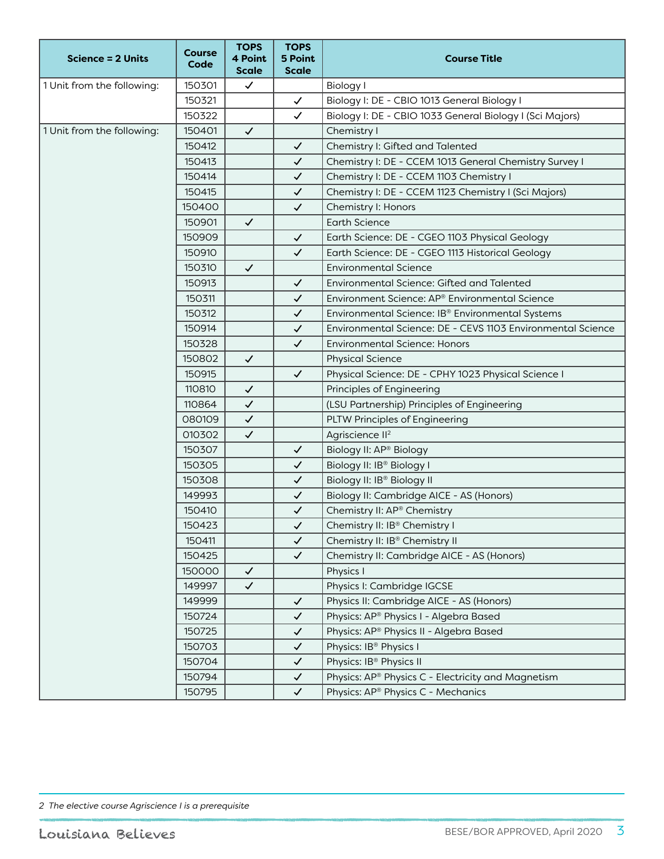| <b>Science = 2 Units</b>   | <b>Course</b><br>Code | <b>TOPS</b><br>4 Point<br><b>Scale</b> | <b>TOPS</b><br>5 Point<br><b>Scale</b> | <b>Course Title</b>                                         |
|----------------------------|-----------------------|----------------------------------------|----------------------------------------|-------------------------------------------------------------|
| 1 Unit from the following: | 150301                | $\checkmark$                           |                                        | <b>Biology</b> I                                            |
|                            | 150321                |                                        | $\checkmark$                           | Biology I: DE - CBIO 1013 General Biology I                 |
|                            | 150322                |                                        | $\checkmark$                           | Biology I: DE - CBIO 1033 General Biology I (Sci Majors)    |
| 1 Unit from the following: | 150401                | $\checkmark$                           |                                        | Chemistry I                                                 |
|                            | 150412                |                                        | $\checkmark$                           | Chemistry I: Gifted and Talented                            |
|                            | 150413                |                                        | $\checkmark$                           | Chemistry I: DE - CCEM 1013 General Chemistry Survey I      |
|                            | 150414                |                                        | $\checkmark$                           | Chemistry I: DE - CCEM 1103 Chemistry I                     |
|                            | 150415                |                                        | $\checkmark$                           | Chemistry I: DE - CCEM 1123 Chemistry I (Sci Majors)        |
|                            | 150400                |                                        | $\checkmark$                           | Chemistry I: Honors                                         |
|                            | 150901                | $\checkmark$                           |                                        | <b>Earth Science</b>                                        |
|                            | 150909                |                                        | $\checkmark$                           | Earth Science: DE - CGEO 1103 Physical Geology              |
|                            | 150910                |                                        | $\checkmark$                           | Earth Science: DE - CGEO 1113 Historical Geology            |
|                            | 150310                | $\checkmark$                           |                                        | <b>Environmental Science</b>                                |
|                            | 150913                |                                        | $\checkmark$                           | Environmental Science: Gifted and Talented                  |
|                            | 150311                |                                        | $\checkmark$                           | Environment Science: AP <sup>®</sup> Environmental Science  |
|                            | 150312                |                                        | $\checkmark$                           | Environmental Science: IB® Environmental Systems            |
|                            | 150914                |                                        | $\checkmark$                           | Environmental Science: DE - CEVS 1103 Environmental Science |
|                            | 150328                |                                        | $\checkmark$                           | <b>Environmental Science: Honors</b>                        |
|                            | 150802                | $\checkmark$                           |                                        | <b>Physical Science</b>                                     |
|                            | 150915                |                                        | $\checkmark$                           | Physical Science: DE - CPHY 1023 Physical Science I         |
|                            | 110810                | $\checkmark$                           |                                        | Principles of Engineering                                   |
|                            | 110864                | $\checkmark$                           |                                        | (LSU Partnership) Principles of Engineering                 |
|                            | 080109                | $\checkmark$                           |                                        | PLTW Principles of Engineering                              |
|                            | 010302                | $\checkmark$                           |                                        | Agriscience II <sup>2</sup>                                 |
|                            | 150307                |                                        | $\checkmark$                           | Biology II: AP <sup>®</sup> Biology                         |
|                            | 150305                |                                        | $\checkmark$                           | Biology II: IB <sup>®</sup> Biology I                       |
|                            | 150308                |                                        | $\checkmark$                           | Biology II: IB <sup>®</sup> Biology II                      |
|                            | 149993                |                                        | $\checkmark$                           | Biology II: Cambridge AICE - AS (Honors)                    |
|                            | 150410                |                                        | $\checkmark$                           | Chemistry II: AP <sup>®</sup> Chemistry                     |
|                            | 150423                |                                        | $\checkmark$                           | Chemistry II: IB® Chemistry I                               |
|                            | 150411                |                                        | $\checkmark$                           | Chemistry II: IB <sup>®</sup> Chemistry II                  |
|                            | 150425                |                                        | $\checkmark$                           | Chemistry II: Cambridge AICE - AS (Honors)                  |
|                            | 150000                | $\checkmark$                           |                                        | Physics I                                                   |
|                            | 149997                | $\checkmark$                           |                                        | Physics I: Cambridge IGCSE                                  |
|                            | 149999                |                                        | $\checkmark$                           | Physics II: Cambridge AICE - AS (Honors)                    |
|                            | 150724                |                                        | $\checkmark$                           | Physics: AP® Physics I - Algebra Based                      |
|                            | 150725                |                                        | $\checkmark$                           | Physics: AP® Physics II - Algebra Based                     |
|                            | 150703                |                                        | $\checkmark$                           | Physics: IB <sup>®</sup> Physics I                          |
|                            | 150704                |                                        | $\checkmark$                           | Physics: IB® Physics II                                     |
|                            | 150794                |                                        | $\checkmark$                           | Physics: AP® Physics C - Electricity and Magnetism          |
|                            | 150795                |                                        | $\checkmark$                           | Physics: AP® Physics C - Mechanics                          |

*The elective course Agriscience I is a prerequisite*